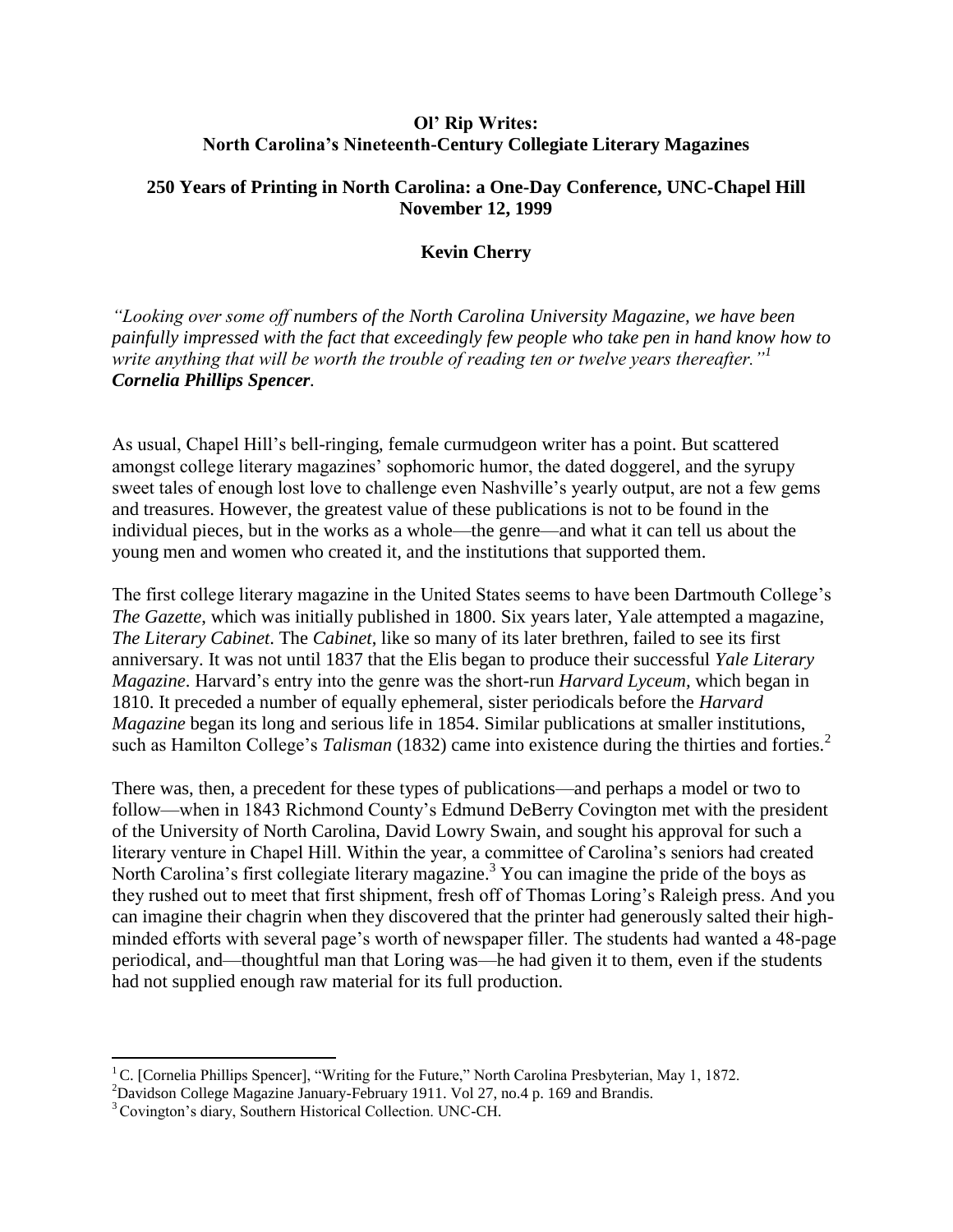## **Ol' Rip Writes: North Carolina's Nineteenth-Century Collegiate Literary Magazines**

## **250 Years of Printing in North Carolina: a One-Day Conference, UNC-Chapel Hill November 12, 1999**

## **Kevin Cherry**

*"Looking over some off numbers of the North Carolina University Magazine, we have been painfully impressed with the fact that exceedingly few people who take pen in hand know how to write anything that will be worth the trouble of reading ten or twelve years thereafter."<sup>1</sup> Cornelia Phillips Spencer.*

As usual, Chapel Hill's bell-ringing, female curmudgeon writer has a point. But scattered amongst college literary magazines' sophomoric humor, the dated doggerel, and the syrupy sweet tales of enough lost love to challenge even Nashville's yearly output, are not a few gems and treasures. However, the greatest value of these publications is not to be found in the individual pieces, but in the works as a whole—the genre—and what it can tell us about the young men and women who created it, and the institutions that supported them.

The first college literary magazine in the United States seems to have been Dartmouth College's *The Gazette*, which was initially published in 1800. Six years later, Yale attempted a magazine, *The Literary Cabinet*. The *Cabinet*, like so many of its later brethren, failed to see its first anniversary. It was not until 1837 that the Elis began to produce their successful *Yale Literary Magazine*. Harvard's entry into the genre was the short-run *Harvard Lyceum,* which began in 1810. It preceded a number of equally ephemeral, sister periodicals before the *Harvard Magazine* began its long and serious life in 1854. Similar publications at smaller institutions, such as Hamilton College's *Talisman* (1832) came into existence during the thirties and forties.<sup>2</sup>

There was, then, a precedent for these types of publications—and perhaps a model or two to follow—when in 1843 Richmond County's Edmund DeBerry Covington met with the president of the University of North Carolina, David Lowry Swain, and sought his approval for such a literary venture in Chapel Hill. Within the year, a committee of Carolina's seniors had created North Carolina's first collegiate literary magazine.<sup>3</sup> You can imagine the pride of the boys as they rushed out to meet that first shipment, fresh off of Thomas Loring's Raleigh press. And you can imagine their chagrin when they discovered that the printer had generously salted their highminded efforts with several page's worth of newspaper filler. The students had wanted a 48-page periodical, and—thoughtful man that Loring was—he had given it to them, even if the students had not supplied enough raw material for its full production.

 $\overline{\phantom{a}}$ <sup>1</sup> C. [Cornelia Phillips Spencer], "Writing for the Future," North Carolina Presbyterian, May 1, 1872.

 $^{2}$ Davidson College Magazine January-February 1911. Vol 27, no.4 p. 169 and Brandis.

<sup>&</sup>lt;sup>3</sup> Covington's diary, Southern Historical Collection. UNC-CH.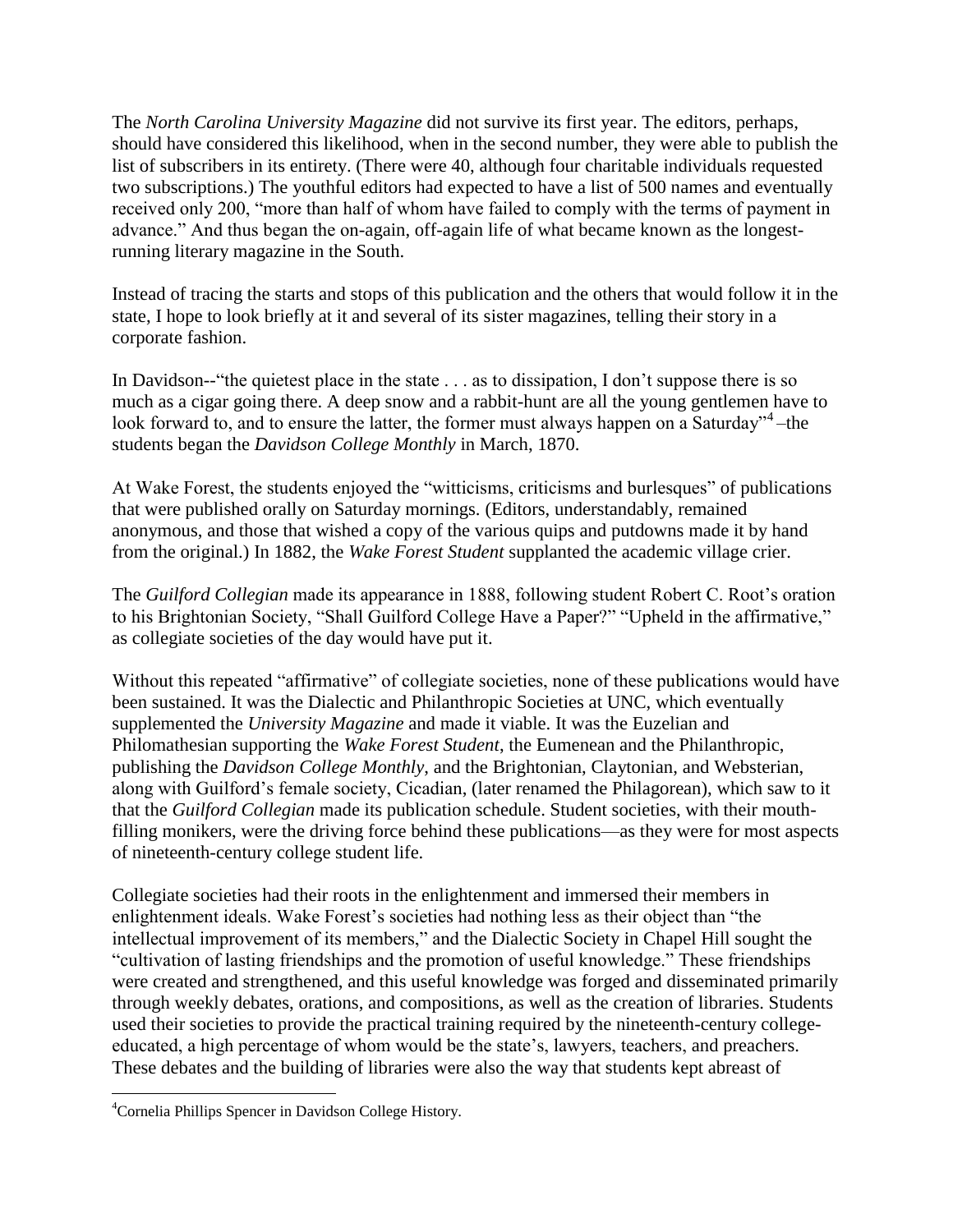The *North Carolina University Magazine* did not survive its first year. The editors, perhaps, should have considered this likelihood, when in the second number, they were able to publish the list of subscribers in its entirety. (There were 40, although four charitable individuals requested two subscriptions.) The youthful editors had expected to have a list of 500 names and eventually received only 200, "more than half of whom have failed to comply with the terms of payment in advance." And thus began the on-again, off-again life of what became known as the longestrunning literary magazine in the South.

Instead of tracing the starts and stops of this publication and the others that would follow it in the state, I hope to look briefly at it and several of its sister magazines, telling their story in a corporate fashion.

In Davidson--"the quietest place in the state . . . as to dissipation, I don't suppose there is so much as a cigar going there. A deep snow and a rabbit-hunt are all the young gentlemen have to look forward to, and to ensure the latter, the former must always happen on a Saturday"<sup>4</sup>-the students began the *Davidson College Monthly* in March, 1870.

At Wake Forest, the students enjoyed the "witticisms, criticisms and burlesques" of publications that were published orally on Saturday mornings. (Editors, understandably, remained anonymous, and those that wished a copy of the various quips and putdowns made it by hand from the original.) In 1882, the *Wake Forest Student* supplanted the academic village crier.

The *Guilford Collegian* made its appearance in 1888, following student Robert C. Root's oration to his Brightonian Society, "Shall Guilford College Have a Paper?" "Upheld in the affirmative," as collegiate societies of the day would have put it.

Without this repeated "affirmative" of collegiate societies, none of these publications would have been sustained. It was the Dialectic and Philanthropic Societies at UNC, which eventually supplemented the *University Magazine* and made it viable. It was the Euzelian and Philomathesian supporting the *Wake Forest Student*, the Eumenean and the Philanthropic, publishing the *Davidson College Monthly*, and the Brightonian, Claytonian, and Websterian, along with Guilford's female society, Cicadian, (later renamed the Philagorean), which saw to it that the *Guilford Collegian* made its publication schedule. Student societies, with their mouthfilling monikers, were the driving force behind these publications—as they were for most aspects of nineteenth-century college student life.

Collegiate societies had their roots in the enlightenment and immersed their members in enlightenment ideals. Wake Forest's societies had nothing less as their object than "the intellectual improvement of its members," and the Dialectic Society in Chapel Hill sought the "cultivation of lasting friendships and the promotion of useful knowledge." These friendships were created and strengthened, and this useful knowledge was forged and disseminated primarily through weekly debates, orations, and compositions, as well as the creation of libraries. Students used their societies to provide the practical training required by the nineteenth-century collegeeducated, a high percentage of whom would be the state's, lawyers, teachers, and preachers. These debates and the building of libraries were also the way that students kept abreast of

 $\overline{\phantom{a}}$ 

<sup>4</sup>Cornelia Phillips Spencer in Davidson College History.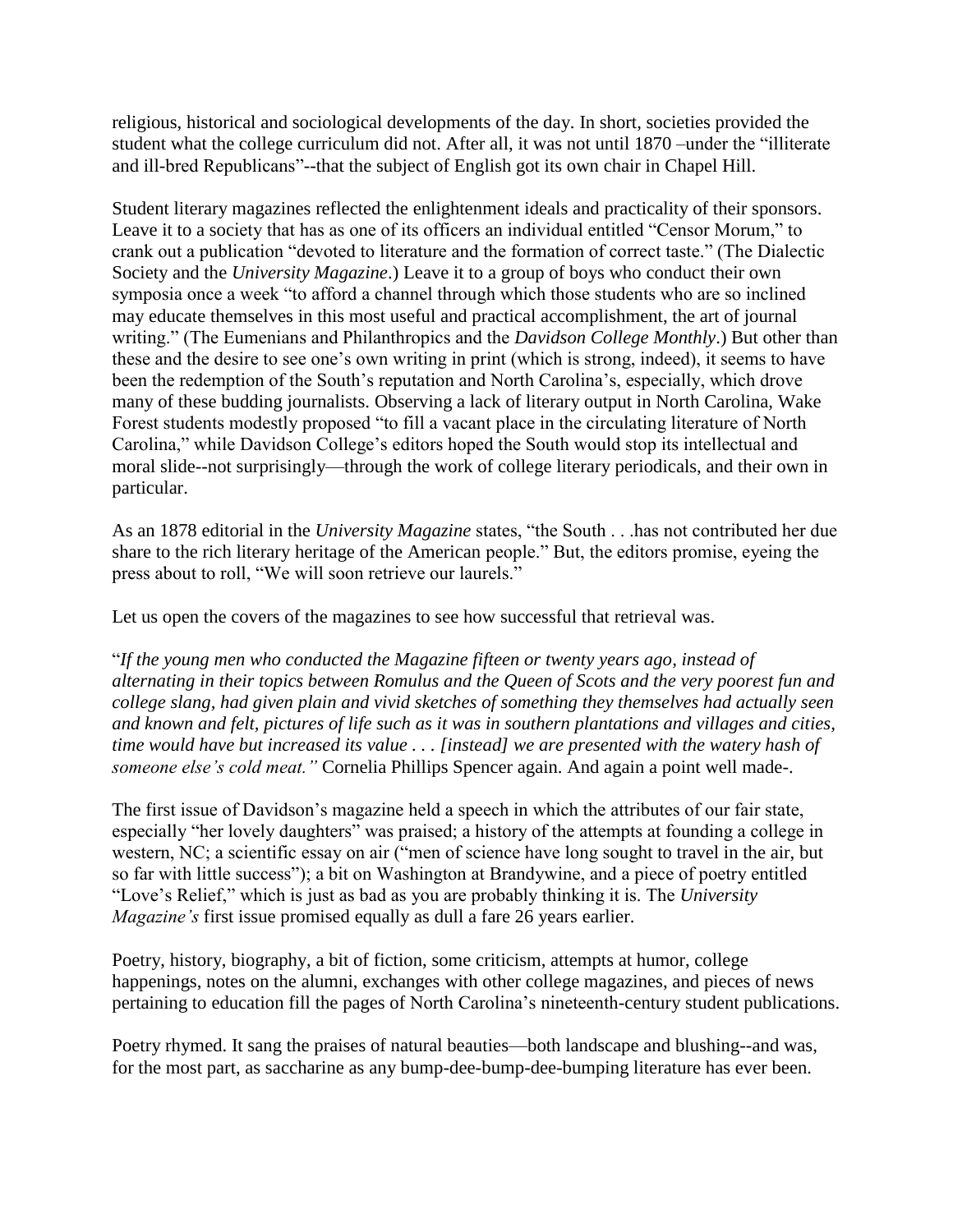religious, historical and sociological developments of the day. In short, societies provided the student what the college curriculum did not. After all, it was not until 1870 –under the "illiterate and ill-bred Republicans"--that the subject of English got its own chair in Chapel Hill.

Student literary magazines reflected the enlightenment ideals and practicality of their sponsors. Leave it to a society that has as one of its officers an individual entitled "Censor Morum," to crank out a publication "devoted to literature and the formation of correct taste." (The Dialectic Society and the *University Magazine*.) Leave it to a group of boys who conduct their own symposia once a week "to afford a channel through which those students who are so inclined may educate themselves in this most useful and practical accomplishment, the art of journal writing." (The Eumenians and Philanthropics and the *Davidson College Monthly*.) But other than these and the desire to see one's own writing in print (which is strong, indeed), it seems to have been the redemption of the South's reputation and North Carolina's, especially, which drove many of these budding journalists. Observing a lack of literary output in North Carolina, Wake Forest students modestly proposed "to fill a vacant place in the circulating literature of North Carolina," while Davidson College's editors hoped the South would stop its intellectual and moral slide--not surprisingly—through the work of college literary periodicals, and their own in particular.

As an 1878 editorial in the *University Magazine* states, "the South . . .has not contributed her due share to the rich literary heritage of the American people." But, the editors promise, eyeing the press about to roll, "We will soon retrieve our laurels."

Let us open the covers of the magazines to see how successful that retrieval was.

"*If the young men who conducted the Magazine fifteen or twenty years ago, instead of alternating in their topics between Romulus and the Queen of Scots and the very poorest fun and college slang, had given plain and vivid sketches of something they themselves had actually seen and known and felt, pictures of life such as it was in southern plantations and villages and cities, time would have but increased its value . . . [instead] we are presented with the watery hash of someone else's cold meat."* Cornelia Phillips Spencer again. And again a point well made-.

The first issue of Davidson's magazine held a speech in which the attributes of our fair state, especially "her lovely daughters" was praised; a history of the attempts at founding a college in western, NC; a scientific essay on air ("men of science have long sought to travel in the air, but so far with little success"); a bit on Washington at Brandywine, and a piece of poetry entitled "Love's Relief," which is just as bad as you are probably thinking it is. The *University Magazine's* first issue promised equally as dull a fare 26 years earlier.

Poetry, history, biography, a bit of fiction, some criticism, attempts at humor, college happenings, notes on the alumni, exchanges with other college magazines, and pieces of news pertaining to education fill the pages of North Carolina's nineteenth-century student publications.

Poetry rhymed. It sang the praises of natural beauties—both landscape and blushing--and was, for the most part, as saccharine as any bump-dee-bump-dee-bumping literature has ever been.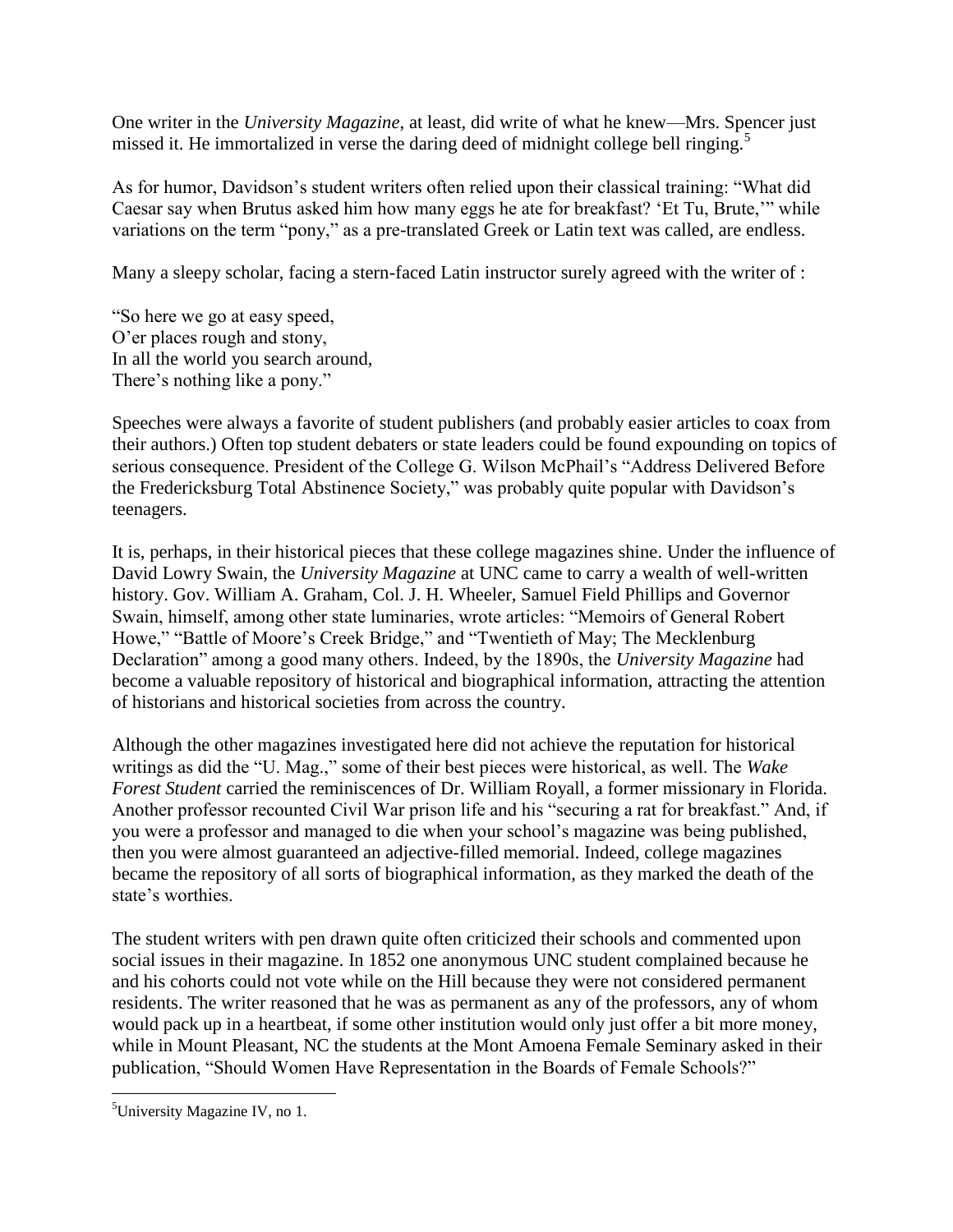One writer in the *University Magazine*, at least*,* did write of what he knew—Mrs. Spencer just missed it. He immortalized in verse the daring deed of midnight college bell ringing.<sup>5</sup>

As for humor, Davidson's student writers often relied upon their classical training: "What did Caesar say when Brutus asked him how many eggs he ate for breakfast? 'Et Tu, Brute,'" while variations on the term "pony," as a pre-translated Greek or Latin text was called, are endless.

Many a sleepy scholar, facing a stern-faced Latin instructor surely agreed with the writer of :

"So here we go at easy speed, O'er places rough and stony, In all the world you search around, There's nothing like a pony."

Speeches were always a favorite of student publishers (and probably easier articles to coax from their authors.) Often top student debaters or state leaders could be found expounding on topics of serious consequence. President of the College G. Wilson McPhail's "Address Delivered Before the Fredericksburg Total Abstinence Society," was probably quite popular with Davidson's teenagers.

It is, perhaps, in their historical pieces that these college magazines shine. Under the influence of David Lowry Swain, the *University Magazine* at UNC came to carry a wealth of well-written history. Gov. William A. Graham, Col. J. H. Wheeler, Samuel Field Phillips and Governor Swain, himself, among other state luminaries, wrote articles: "Memoirs of General Robert Howe," "Battle of Moore's Creek Bridge," and "Twentieth of May; The Mecklenburg Declaration" among a good many others. Indeed, by the 1890s, the *University Magazine* had become a valuable repository of historical and biographical information, attracting the attention of historians and historical societies from across the country.

Although the other magazines investigated here did not achieve the reputation for historical writings as did the "U. Mag.," some of their best pieces were historical, as well. The *Wake Forest Student* carried the reminiscences of Dr. William Royall, a former missionary in Florida. Another professor recounted Civil War prison life and his "securing a rat for breakfast." And, if you were a professor and managed to die when your school's magazine was being published, then you were almost guaranteed an adjective-filled memorial. Indeed, college magazines became the repository of all sorts of biographical information, as they marked the death of the state's worthies.

The student writers with pen drawn quite often criticized their schools and commented upon social issues in their magazine. In 1852 one anonymous UNC student complained because he and his cohorts could not vote while on the Hill because they were not considered permanent residents. The writer reasoned that he was as permanent as any of the professors, any of whom would pack up in a heartbeat, if some other institution would only just offer a bit more money, while in Mount Pleasant, NC the students at the Mont Amoena Female Seminary asked in their publication, "Should Women Have Representation in the Boards of Female Schools?"

 $\overline{\phantom{a}}$ 

<sup>&</sup>lt;sup>5</sup>University Magazine IV, no 1.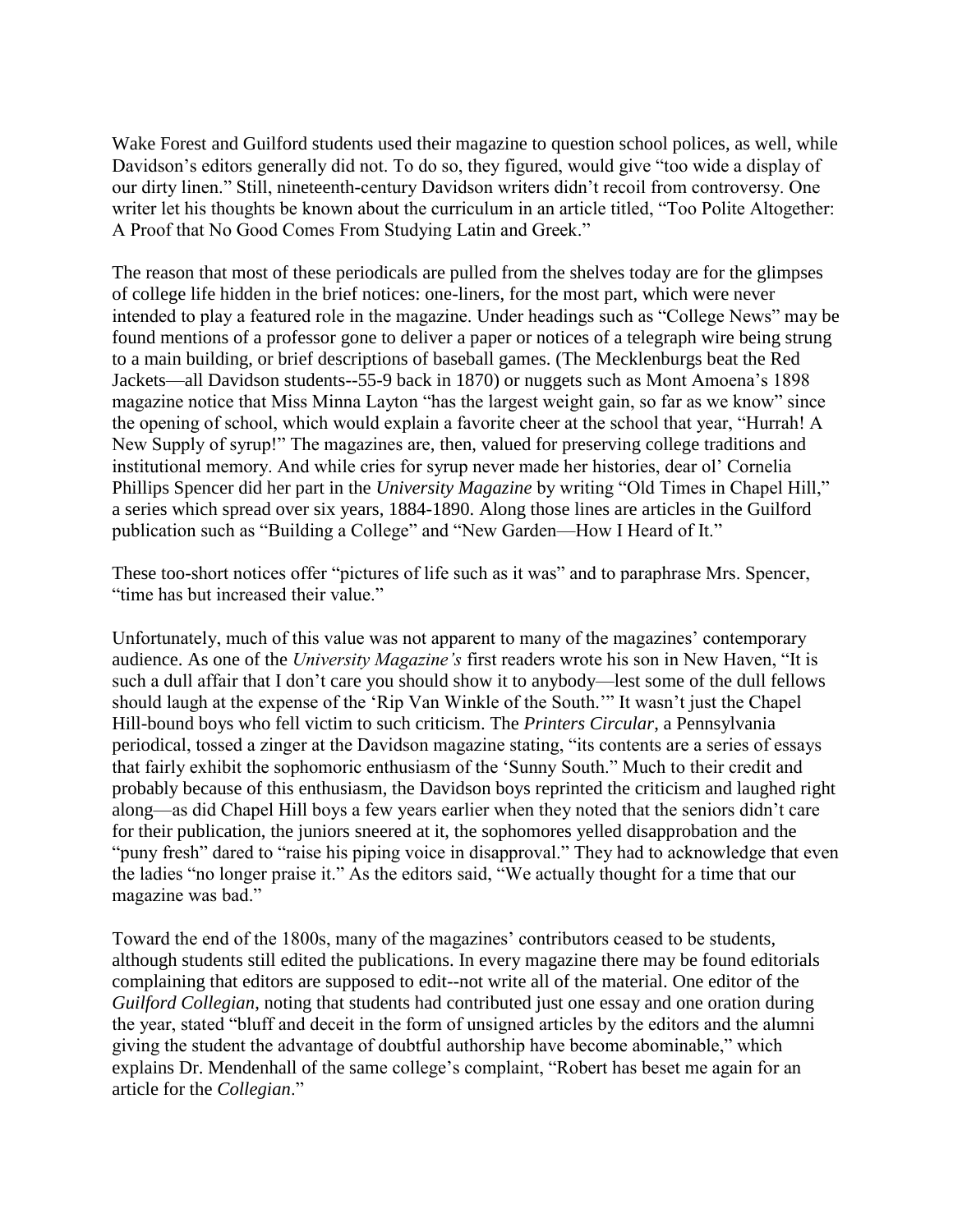Wake Forest and Guilford students used their magazine to question school polices, as well, while Davidson's editors generally did not. To do so, they figured, would give "too wide a display of our dirty linen." Still, nineteenth-century Davidson writers didn't recoil from controversy. One writer let his thoughts be known about the curriculum in an article titled, "Too Polite Altogether: A Proof that No Good Comes From Studying Latin and Greek."

The reason that most of these periodicals are pulled from the shelves today are for the glimpses of college life hidden in the brief notices: one-liners, for the most part, which were never intended to play a featured role in the magazine. Under headings such as "College News" may be found mentions of a professor gone to deliver a paper or notices of a telegraph wire being strung to a main building, or brief descriptions of baseball games. (The Mecklenburgs beat the Red Jackets—all Davidson students--55-9 back in 1870) or nuggets such as Mont Amoena's 1898 magazine notice that Miss Minna Layton "has the largest weight gain, so far as we know" since the opening of school, which would explain a favorite cheer at the school that year, "Hurrah! A New Supply of syrup!" The magazines are, then, valued for preserving college traditions and institutional memory. And while cries for syrup never made her histories, dear ol' Cornelia Phillips Spencer did her part in the *University Magazine* by writing "Old Times in Chapel Hill," a series which spread over six years, 1884-1890. Along those lines are articles in the Guilford publication such as "Building a College" and "New Garden—How I Heard of It."

These too-short notices offer "pictures of life such as it was" and to paraphrase Mrs. Spencer, "time has but increased their value."

Unfortunately, much of this value was not apparent to many of the magazines' contemporary audience. As one of the *University Magazine's* first readers wrote his son in New Haven, "It is such a dull affair that I don't care you should show it to anybody—lest some of the dull fellows should laugh at the expense of the 'Rip Van Winkle of the South.'" It wasn't just the Chapel Hill-bound boys who fell victim to such criticism. The *Printers Circular*, a Pennsylvania periodical, tossed a zinger at the Davidson magazine stating, "its contents are a series of essays that fairly exhibit the sophomoric enthusiasm of the 'Sunny South." Much to their credit and probably because of this enthusiasm, the Davidson boys reprinted the criticism and laughed right along—as did Chapel Hill boys a few years earlier when they noted that the seniors didn't care for their publication, the juniors sneered at it, the sophomores yelled disapprobation and the "puny fresh" dared to "raise his piping voice in disapproval." They had to acknowledge that even the ladies "no longer praise it." As the editors said, "We actually thought for a time that our magazine was bad."

Toward the end of the 1800s, many of the magazines' contributors ceased to be students, although students still edited the publications. In every magazine there may be found editorials complaining that editors are supposed to edit--not write all of the material. One editor of the *Guilford Collegian*, noting that students had contributed just one essay and one oration during the year, stated "bluff and deceit in the form of unsigned articles by the editors and the alumni giving the student the advantage of doubtful authorship have become abominable," which explains Dr. Mendenhall of the same college's complaint, "Robert has beset me again for an article for the *Collegian*."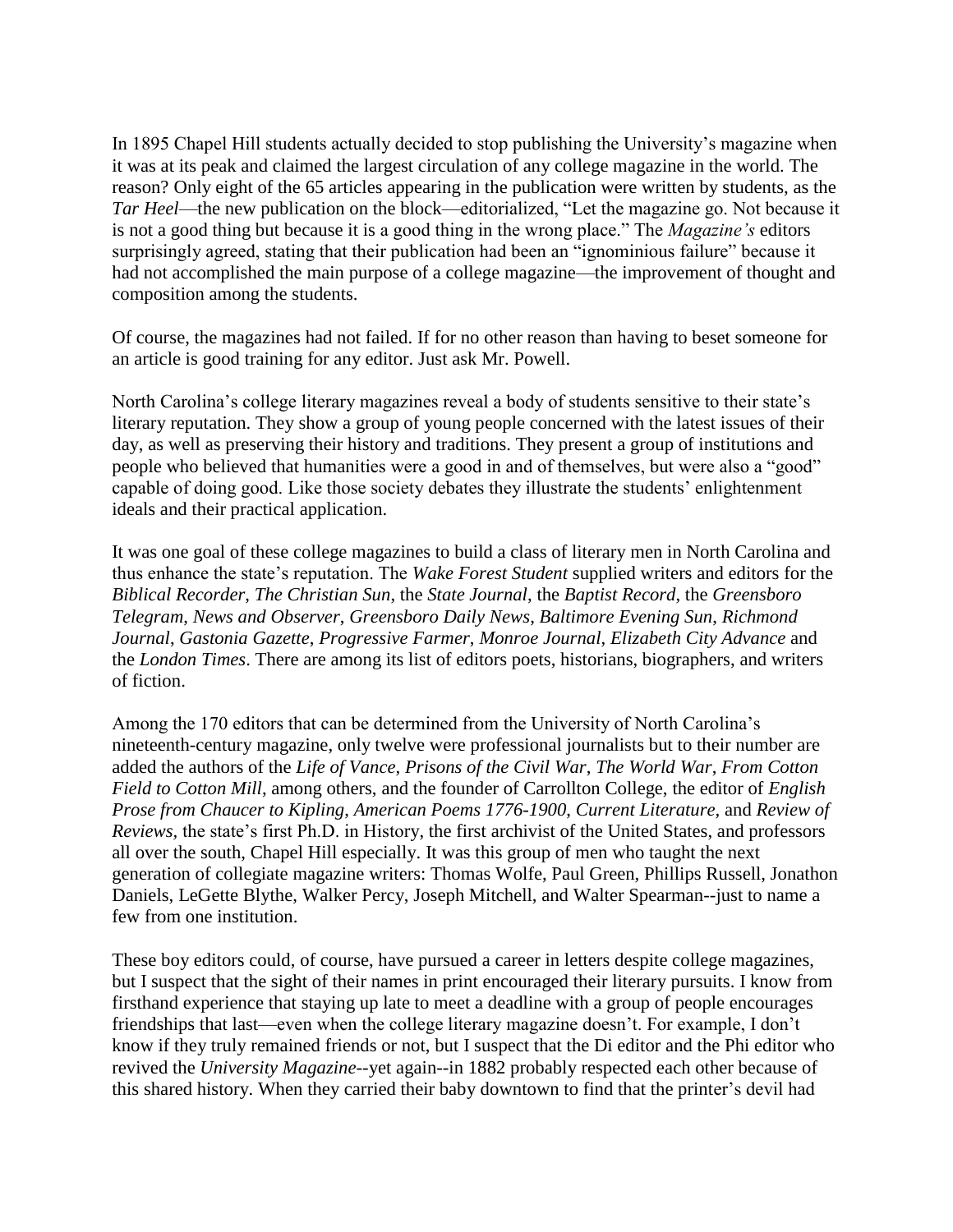In 1895 Chapel Hill students actually decided to stop publishing the University's magazine when it was at its peak and claimed the largest circulation of any college magazine in the world. The reason? Only eight of the 65 articles appearing in the publication were written by students, as the *Tar Heel*—the new publication on the block—editorialized, "Let the magazine go. Not because it is not a good thing but because it is a good thing in the wrong place." The *Magazine's* editors surprisingly agreed, stating that their publication had been an "ignominious failure" because it had not accomplished the main purpose of a college magazine—the improvement of thought and composition among the students.

Of course, the magazines had not failed. If for no other reason than having to beset someone for an article is good training for any editor. Just ask Mr. Powell.

North Carolina's college literary magazines reveal a body of students sensitive to their state's literary reputation. They show a group of young people concerned with the latest issues of their day, as well as preserving their history and traditions. They present a group of institutions and people who believed that humanities were a good in and of themselves, but were also a "good" capable of doing good. Like those society debates they illustrate the students' enlightenment ideals and their practical application.

It was one goal of these college magazines to build a class of literary men in North Carolina and thus enhance the state's reputation. The *Wake Forest Student* supplied writers and editors for the *Biblical Recorder*, *The Christian Sun*, the *State Journal*, the *Baptist Record*, the *Greensboro Telegram*, *News and Observer*, *Greensboro Daily News*, *Baltimore Evening Sun*, *Richmond Journal*, *Gastonia Gazette*, *Progressive Farmer*, *Monroe Journal*, *Elizabeth City Advance* and the *London Times*. There are among its list of editors poets, historians, biographers, and writers of fiction.

Among the 170 editors that can be determined from the University of North Carolina's nineteenth-century magazine, only twelve were professional journalists but to their number are added the authors of the *Life of Vance*, *Prisons of the Civil War*, *The World War*, *From Cotton Field to Cotton Mill*, among others, and the founder of Carrollton College, the editor of *English Prose from Chaucer to Kipling*, *American Poems 1776-1900*, *Current Literature,* and *Review of Reviews,* the state's first Ph.D. in History, the first archivist of the United States, and professors all over the south, Chapel Hill especially. It was this group of men who taught the next generation of collegiate magazine writers: Thomas Wolfe, Paul Green, Phillips Russell, Jonathon Daniels, LeGette Blythe, Walker Percy, Joseph Mitchell, and Walter Spearman--just to name a few from one institution.

These boy editors could, of course, have pursued a career in letters despite college magazines, but I suspect that the sight of their names in print encouraged their literary pursuits. I know from firsthand experience that staying up late to meet a deadline with a group of people encourages friendships that last—even when the college literary magazine doesn't. For example, I don't know if they truly remained friends or not, but I suspect that the Di editor and the Phi editor who revived the *University Magazine*--yet again--in 1882 probably respected each other because of this shared history. When they carried their baby downtown to find that the printer's devil had